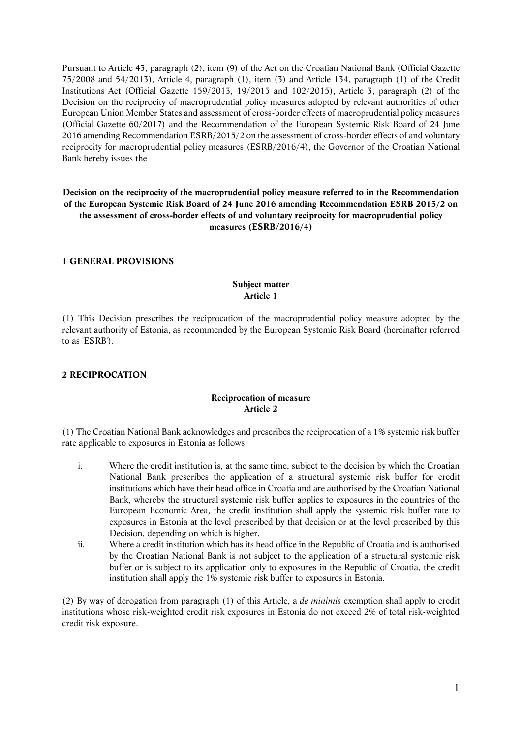Pursuant to Article 43, paragraph (2), item (9) of the Act on the Croatian National Bank (Official Gazette 75/2008 and 54/2013), Article 4, paragraph (1), item (3) and Article 134, paragraph (1) of the Credit Institutions Act (Official Gazette 159/2013, 19/2015 and 102/2015), Article 3, paragraph (2) of the Decision on the reciprocity of macroprudential policy measures adopted by relevant authorities of other European Union Member States and assessment of cross-border effects of macroprudential policy measures (Official Gazette 60/2017) and the Recommendation of the European Systemic Risk Board of 24 June 2016 amending Recommendation ESRB/2015/2 on the assessment of cross-border effects of and voluntary reciprocity for macroprudential policy measures (ESRB/2016/4), the Governor of the Croatian National Bank hereby issues the

# **Decision on the reciprocity of the macroprudential policy measure referred to in the Recommendation of the European Systemic Risk Board of 24 June 2016 amending Recommendation ESRB 2015/2 on the assessment of cross-border effects of and voluntary reciprocity for macroprudential policy measures (ESRB/2016/4)**

#### **1 GENERAL PROVISIONS**

## **Subject matter Article 1**

(1) This Decision prescribes the reciprocation of the macroprudential policy measure adopted by the relevant authority of Estonia, as recommended by the European Systemic Risk Board (hereinafter referred to as 'ESRB').

### **2 RECIPROCATION**

### **Reciprocation of measure Article 2**

(1) The Croatian National Bank acknowledges and prescribes the reciprocation of a 1% systemic risk buffer rate applicable to exposures in Estonia as follows:

- i. Where the credit institution is, at the same time, subject to the decision by which the Croatian National Bank prescribes the application of a structural systemic risk buffer for credit institutions which have their head office in Croatia and are authorised by the Croatian National Bank, whereby the structural systemic risk buffer applies to exposures in the countries of the European Economic Area, the credit institution shall apply the systemic risk buffer rate to exposures in Estonia at the level prescribed by that decision or at the level prescribed by this Decision, depending on which is higher.
- ii. Where a credit institution which has its head office in the Republic of Croatia and is authorised by the Croatian National Bank is not subject to the application of a structural systemic risk buffer or is subject to its application only to exposures in the Republic of Croatia, the credit institution shall apply the 1% systemic risk buffer to exposures in Estonia.

(2) By way of derogation from paragraph (1) of this Article, a *de minimis* exemption shall apply to credit institutions whose risk-weighted credit risk exposures in Estonia do not exceed 2% of total risk-weighted credit risk exposure.